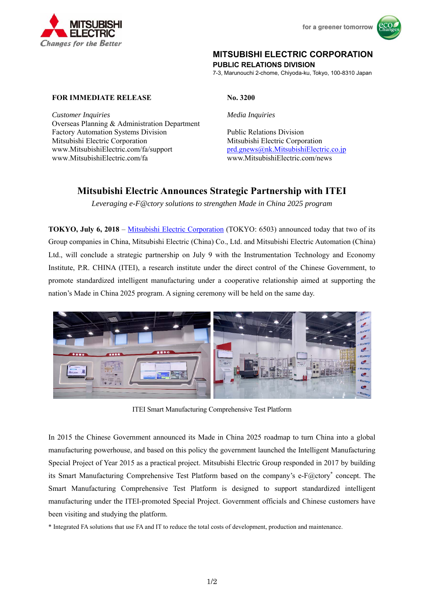



## **MITSUBISHI ELECTRIC CORPORATION**

**PUBLIC RELATIONS DIVISION** 

7-3, Marunouchi 2-chome, Chiyoda-ku, Tokyo, 100-8310 Japan

**FOR IMMEDIATE RELEASE** No. 3200

*Customer Inquiries Media Inquiries* Overseas Planning & Administration Department Factory Automation Systems Division Public Relations Division Mitsubishi Electric Corporation Mitsubishi Electric Corporation www.MitsubishiElectric.com/fa/support prd.gnews@nk.MitsubishiElectric.co.jp www.MitsubishiElectric.com/fa www.MitsubishiElectric.com/news

## **Mitsubishi Electric Announces Strategic Partnership with ITEI**

*Leveraging e-F@ctory solutions to strengthen Made in China 2025 program* 

**TOKYO, July 6, 2018** – Mitsubishi Electric Corporation (TOKYO: 6503) announced today that two of its Group companies in China, Mitsubishi Electric (China) Co., Ltd. and Mitsubishi Electric Automation (China) Ltd., will conclude a strategic partnership on July 9 with the Instrumentation Technology and Economy Institute, P.R. CHINA (ITEI), a research institute under the direct control of the Chinese Government, to promote standardized intelligent manufacturing under a cooperative relationship aimed at supporting the nation's Made in China 2025 program. A signing ceremony will be held on the same day.



ITEI Smart Manufacturing Comprehensive Test Platform

In 2015 the Chinese Government announced its Made in China 2025 roadmap to turn China into a global manufacturing powerhouse, and based on this policy the government launched the Intelligent Manufacturing Special Project of Year 2015 as a practical project. Mitsubishi Electric Group responded in 2017 by building its Smart Manufacturing Comprehensive Test Platform based on the company's e-F@ctory\* concept. The Smart Manufacturing Comprehensive Test Platform is designed to support standardized intelligent manufacturing under the ITEI-promoted Special Project. Government officials and Chinese customers have been visiting and studying the platform.

\* Integrated FA solutions that use FA and IT to reduce the total costs of development, production and maintenance.